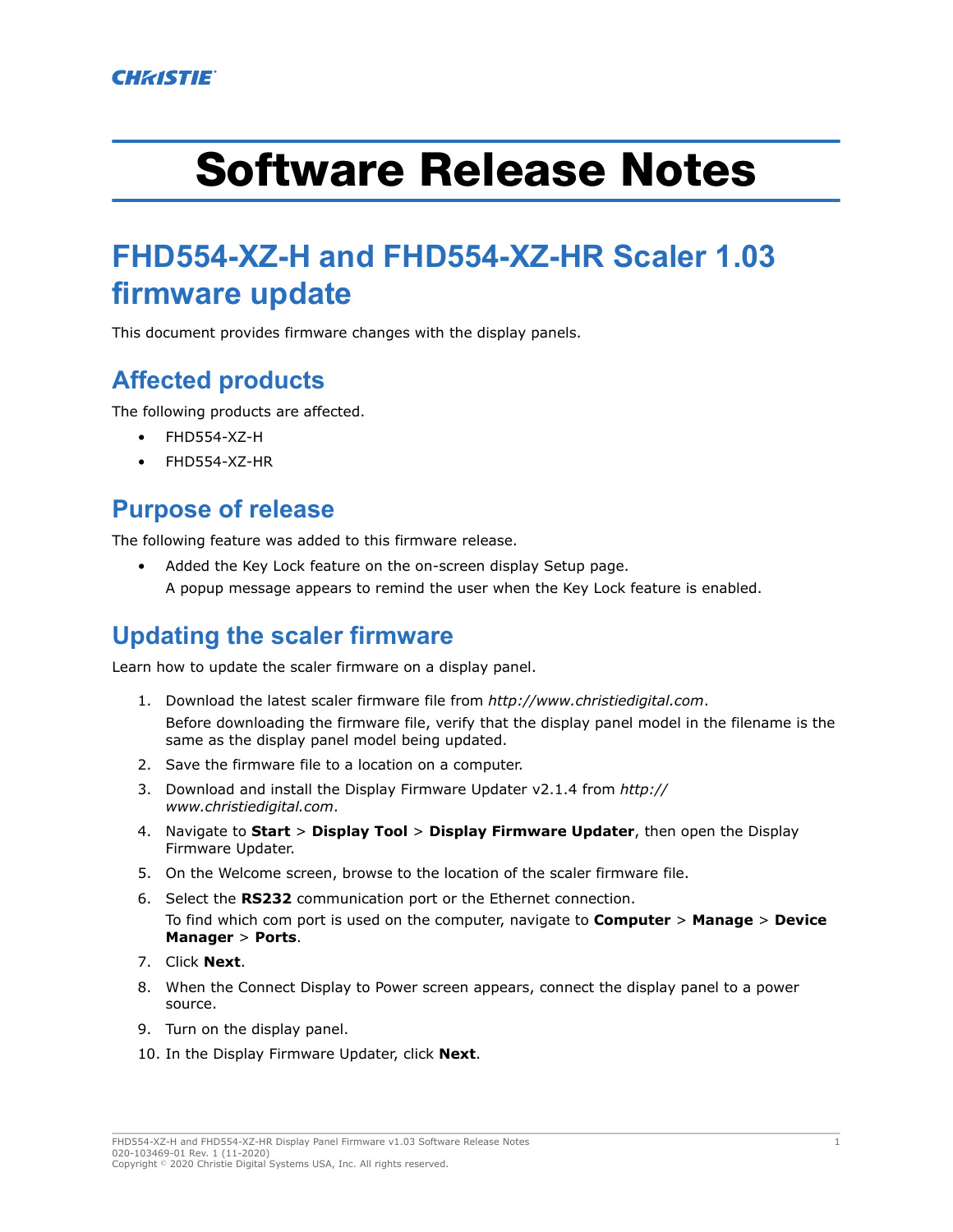# Software Release Notes

# **FHD554-XZ-H and FHD554-XZ-HR Scaler 1.03 firmware update**

This document provides firmware changes with the display panels.

## **Affected products**

The following products are affected.

- FHD554-XZ-H
- FHD554-XZ-HR

#### **Purpose of release**

The following feature was added to this firmware release.

• Added the Key Lock feature on the on-screen display Setup page. A popup message appears to remind the user when the Key Lock feature is enabled.

## **Updating the scaler firmware**

Learn how to update the scaler firmware on a display panel.

- 1. Download the latest scaler firmware file from *<http://www.christiedigital.com>*. Before downloading the firmware file, verify that the display panel model in the filename is the same as the display panel model being updated.
- 2. Save the firmware file to a location on a computer.
- 3. Download and install the Display Firmware Updater v2.1.4 from *[http://](http://www.christiedigital.com) [www.christiedigital.com](http://www.christiedigital.com)*.
- 4. Navigate to **Start** > **Display Tool** > **Display Firmware Updater**, then open the Display Firmware Updater.
- 5. On the Welcome screen, browse to the location of the scaler firmware file.
- 6. Select the **RS232** communication port or the Ethernet connection. To find which com port is used on the computer, navigate to **Computer** > **Manage** > **Device Manager** > **Ports**.
- 7. Click **Next**.
- 8. When the Connect Display to Power screen appears, connect the display panel to a power source.
- 9. Turn on the display panel.
- 10. In the Display Firmware Updater, click **Next**.